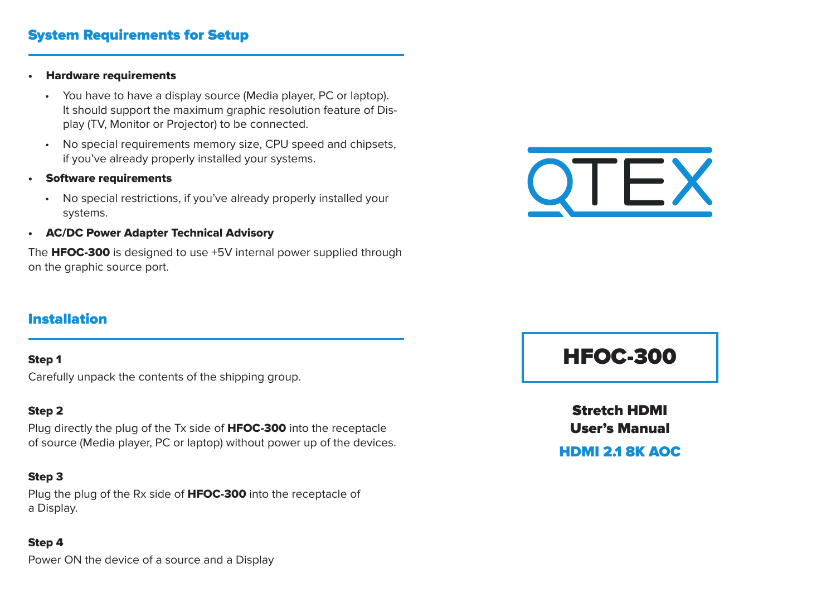## System Requirements for Setup

#### • Hardware requirements

- You have to have a display source (Media player, PC or laptop). It should support the maximum graphic resolution feature of Display (TV, Monitor or Projector) to be connected.
- No special requirements memory size, CPU speed and chipsets, if you've already properly installed your systems.
- Software requirements
	- No special restrictions, if you've already properly installed your systems.
- AC/DC Power Adapter Technical Advisory

The **HFOC-300** is designed to use +5V internal power supplied through on the graphic source port.



## Installation

## Step 1

Carefully unpack the contents of the shipping group.

## Step 2

Plug directly the plug of the Tx side of **HFOC-300** into the receptacle of source (Media player, PC or laptop) without power up of the devices.

## Step 3

Plug the plug of the Rx side of **HFOC-300** into the receptacle of a Display.

#### Step 4

Power ON the device of a source and a Display

# HFOC-300

Stretch HDMI User's Manual

HDMI 2.1 8K AOC